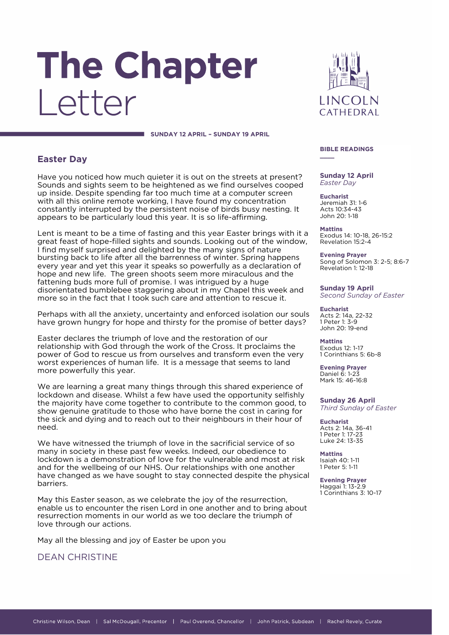# The Chapter I etter

**LINCOLN** CATHEDRAL

#### **SUNDAY 12 APRIL – SUNDAY 19 APRIL**

## **Easter Day**

Have you noticed how much quieter it is out on the streets at present? Sounds and sights seem to be heightened as we find ourselves cooped up inside. Despite spending far too much time at a computer screen with all this online remote working, I have found my concentration constantly interrupted by the persistent noise of birds busy nesting. It appears to be particularly loud this year. It is so life-affirming.

Lent is meant to be a time of fasting and this year Easter brings with it a great feast of hope-filled sights and sounds. Looking out of the window, I find myself surprised and delighted by the many signs of nature bursting back to life after all the barrenness of winter. Spring happens every year and yet this year it speaks so powerfully as a declaration of hope and new life. The green shoots seem more miraculous and the fattening buds more full of promise. I was intrigued by a huge disorientated bumblebee staggering about in my Chapel this week and more so in the fact that I took such care and attention to rescue it.

Perhaps with all the anxiety, uncertainty and enforced isolation our souls have grown hungry for hope and thirsty for the promise of better days?

Easter declares the triumph of love and the restoration of our relationship with God through the work of the Cross. It proclaims the power of God to rescue us from ourselves and transform even the very worst experiences of human life. It is a message that seems to land more powerfully this year.

We are learning a great many things through this shared experience of lockdown and disease. Whilst a few have used the opportunity selfishly the majority have come together to contribute to the common good, to show genuine gratitude to those who have borne the cost in caring for the sick and dying and to reach out to their neighbours in their hour of need.

We have witnessed the triumph of love in the sacrificial service of so many in society in these past few weeks. Indeed, our obedience to lockdown is a demonstration of love for the vulnerable and most at risk and for the wellbeing of our NHS. Our relationships with one another have changed as we have sought to stay connected despite the physical barriers.

May this Easter season, as we celebrate the joy of the resurrection, enable us to encounter the risen Lord in one another and to bring about resurrection moments in our world as we too declare the triumph of love through our actions.

May all the blessing and joy of Easter be upon you

DEAN CHRISTINE

#### **BIBLE READINGS \_\_\_\_**

#### **Sunday 12 April** *Easter Day*

**Eucharist** Jeremiah 31: 1-6 Acts 10:34-43 John 20: 1-18

**Mattins** Exodus 14: 10-18, 26-15:2 Revelation 15:2-4

**Evening Prayer** Song of Solomon 3: 2-5; 8:6-7 Revelation 1: 12-18

**Sunday 19 April** *Second Sunday of Easter*

**Eucharist** Acts 2: 14a, 22-32 1 Peter 1: 3-9 John 20: 19-end

**Mattins** Exodus 12: 1-17 1 Corinthians 5: 6b-8

**Evening Prayer** Daniel 6: 1-23 Mark 15: 46-16:8

**Sunday 26 April** *Third Sunday of Easter*

**Eucharist** Acts 2: 14a, 36-41 1 Peter 1: 17-23 Luke 24: 13-35

**Mattins** Isaiah 40: 1-11 1 Peter 5: 1-11

**Evening Prayer** Haggai 1: 13-2.9 1 Corinthians 3: 10-17